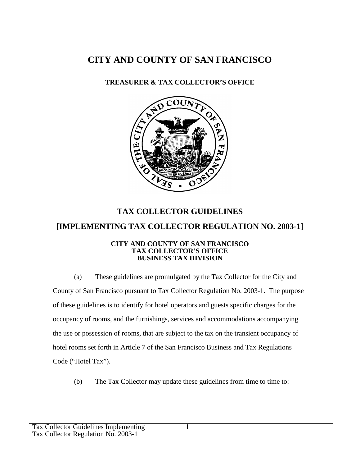## **CITY AND COUNTY OF SAN FRANCISCO**

## **TREASURER & TAX COLLECTOR'S OFFICE**



## **TAX COLLECTOR GUIDELINES [IMPLEMENTING TAX COLLECTOR REGULATION NO. 2003-1]**

## **CITY AND COUNTY OF SAN FRANCISCO TAX COLLECTOR'S OFFICE BUSINESS TAX DIVISION**

(a) These guidelines are promulgated by the Tax Collector for the City and County of San Francisco pursuant to Tax Collector Regulation No. 2003-1. The purpose of these guidelines is to identify for hotel operators and guests specific charges for the occupancy of rooms, and the furnishings, services and accommodations accompanying the use or possession of rooms, that are subject to the tax on the transient occupancy of hotel rooms set forth in Article 7 of the San Francisco Business and Tax Regulations Code ("Hotel Tax").

(b) The Tax Collector may update these guidelines from time to time to: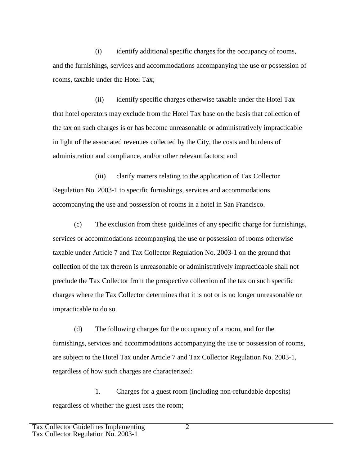(i) identify additional specific charges for the occupancy of rooms, and the furnishings, services and accommodations accompanying the use or possession of rooms, taxable under the Hotel Tax;

(ii) identify specific charges otherwise taxable under the Hotel Tax that hotel operators may exclude from the Hotel Tax base on the basis that collection of the tax on such charges is or has become unreasonable or administratively impracticable in light of the associated revenues collected by the City, the costs and burdens of administration and compliance, and/or other relevant factors; and

(iii) clarify matters relating to the application of Tax Collector Regulation No. 2003-1 to specific furnishings, services and accommodations accompanying the use and possession of rooms in a hotel in San Francisco.

(c) The exclusion from these guidelines of any specific charge for furnishings, services or accommodations accompanying the use or possession of rooms otherwise taxable under Article 7 and Tax Collector Regulation No. 2003-1 on the ground that collection of the tax thereon is unreasonable or administratively impracticable shall not preclude the Tax Collector from the prospective collection of the tax on such specific charges where the Tax Collector determines that it is not or is no longer unreasonable or impracticable to do so.

(d) The following charges for the occupancy of a room, and for the furnishings, services and accommodations accompanying the use or possession of rooms, are subject to the Hotel Tax under Article 7 and Tax Collector Regulation No. 2003-1, regardless of how such charges are characterized:

1. Charges for a guest room (including non-refundable deposits) regardless of whether the guest uses the room;

2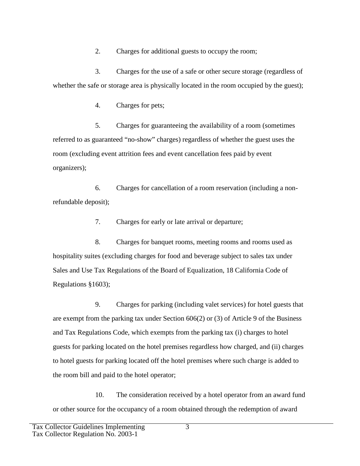2. Charges for additional guests to occupy the room;

3. Charges for the use of a safe or other secure storage (regardless of whether the safe or storage area is physically located in the room occupied by the guest);

4. Charges for pets;

5. Charges for guaranteeing the availability of a room (sometimes referred to as guaranteed "no-show" charges) regardless of whether the guest uses the room (excluding event attrition fees and event cancellation fees paid by event organizers);

6. Charges for cancellation of a room reservation (including a nonrefundable deposit);

7. Charges for early or late arrival or departure;

8. Charges for banquet rooms, meeting rooms and rooms used as hospitality suites (excluding charges for food and beverage subject to sales tax under Sales and Use Tax Regulations of the Board of Equalization, 18 California Code of Regulations §1603);

9. Charges for parking (including valet services) for hotel guests that are exempt from the parking tax under Section 606(2) or (3) of Article 9 of the Business and Tax Regulations Code, which exempts from the parking tax (i) charges to hotel guests for parking located on the hotel premises regardless how charged, and (ii) charges to hotel guests for parking located off the hotel premises where such charge is added to the room bill and paid to the hotel operator;

10. The consideration received by a hotel operator from an award fund or other source for the occupancy of a room obtained through the redemption of award